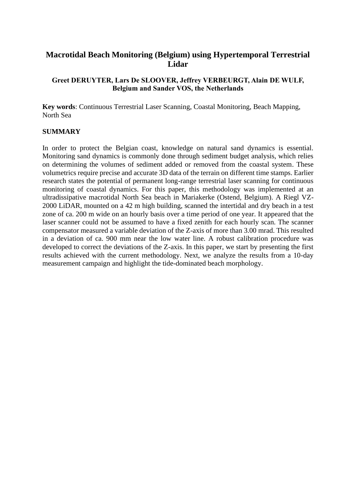# **Macrotidal Beach Monitoring (Belgium) using Hypertemporal Terrestrial Lidar**

#### **Greet DERUYTER, Lars De SLOOVER, Jeffrey VERBEURGT, Alain DE WULF, Belgium and Sander VOS, the Netherlands**

**Key words**: Continuous Terrestrial Laser Scanning, Coastal Monitoring, Beach Mapping, North Sea

#### **SUMMARY**

In order to protect the Belgian coast, knowledge on natural sand dynamics is essential. Monitoring sand dynamics is commonly done through sediment budget analysis, which relies on determining the volumes of sediment added or removed from the coastal system. These volumetrics require precise and accurate 3D data of the terrain on different time stamps. Earlier research states the potential of permanent long-range terrestrial laser scanning for continuous monitoring of coastal dynamics. For this paper, this methodology was implemented at an ultradissipative macrotidal North Sea beach in Mariakerke (Ostend, Belgium). A Riegl VZ-2000 LiDAR, mounted on a 42 m high building, scanned the intertidal and dry beach in a test zone of ca. 200 m wide on an hourly basis over a time period of one year. It appeared that the laser scanner could not be assumed to have a fixed zenith for each hourly scan. The scanner compensator measured a variable deviation of the Z-axis of more than 3.00 mrad. This resulted in a deviation of ca. 900 mm near the low water line. A robust calibration procedure was developed to correct the deviations of the Z-axis. In this paper, we start by presenting the first results achieved with the current methodology. Next, we analyze the results from a 10-day measurement campaign and highlight the tide-dominated beach morphology.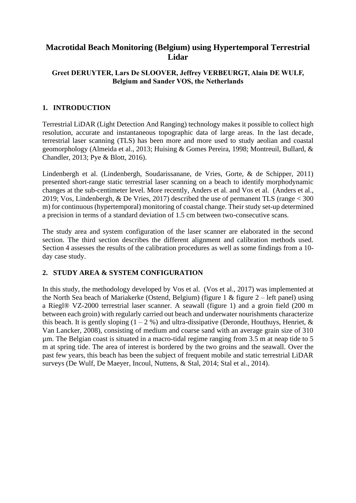# **Macrotidal Beach Monitoring (Belgium) using Hypertemporal Terrestrial Lidar**

#### **Greet DERUYTER, Lars De SLOOVER, Jeffrey VERBEURGT, Alain DE WULF, Belgium and Sander VOS, the Netherlands**

#### **1. INTRODUCTION**

Terrestrial LiDAR (Light Detection And Ranging) technology makes it possible to collect high resolution, accurate and instantaneous topographic data of large areas. In the last decade, terrestrial laser scanning (TLS) has been more and more used to study aeolian and coastal geomorphology (Almeida et al., 2013; Huising & Gomes Pereira, 1998; Montreuil, Bullard, & Chandler, 2013; Pye & Blott, 2016).

Lindenbergh et al. (Lindenbergh, Soudarissanane, de Vries, Gorte, & de Schipper, 2011) presented short-range static terrestrial laser scanning on a beach to identify morphodynamic changes at the sub-centimeter level. More recently, Anders et al. and Vos et al. (Anders et al., 2019; Vos, Lindenbergh, & De Vries, 2017) described the use of permanent TLS (range < 300 m) for continuous (hypertemporal) monitoring of coastal change. Their study set-up determined a precision in terms of a standard deviation of 1.5 cm between two-consecutive scans.

The study area and system configuration of the laser scanner are elaborated in the second section. The third section describes the different alignment and calibration methods used. Section 4 assesses the results of the calibration procedures as well as some findings from a 10 day case study.

## **2. STUDY AREA & SYSTEM CONFIGURATION**

In this study, the methodology developed by Vos et al. (Vos et al., 2017) was implemented at the North Sea beach of Mariakerke (Ostend, Belgium) (figure  $1 \&$  figure  $2$  – left panel) using a Riegl® VZ-2000 terrestrial laser scanner. A seawall (figure 1) and a groin field (200 m between each groin) with regularly carried out beach and underwater nourishments characterize this beach. It is gently sloping  $(1 - 2 \%)$  and ultra-dissipative (Deronde, Houthuys, Henriet, & Van Lancker, 2008), consisting of medium and coarse sand with an average grain size of 310 µm. The Belgian coast is situated in a macro-tidal regime ranging from 3.5 m at neap tide to 5 m at spring tide. The area of interest is bordered by the two groins and the seawall. Over the past few years, this beach has been the subject of frequent mobile and static terrestrial LiDAR surveys (De Wulf, De Maeyer, Incoul, Nuttens, & Stal, 2014; Stal et al., 2014).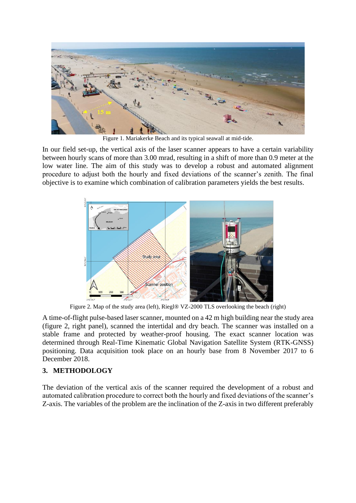

Figure 1. Mariakerke Beach and its typical seawall at mid-tide.

In our field set-up, the vertical axis of the laser scanner appears to have a certain variability between hourly scans of more than 3.00 mrad, resulting in a shift of more than 0.9 meter at the low water line. The aim of this study was to develop a robust and automated alignment procedure to adjust both the hourly and fixed deviations of the scanner's zenith. The final objective is to examine which combination of calibration parameters yields the best results.



Figure 2. Map of the study area (left), Riegl® VZ-2000 TLS overlooking the beach (right)

A time-of-flight pulse-based laser scanner, mounted on a 42 m high building near the study area (figure 2, right panel), scanned the intertidal and dry beach. The scanner was installed on a stable frame and protected by weather-proof housing. The exact scanner location was determined through Real-Time Kinematic Global Navigation Satellite System (RTK-GNSS) positioning. Data acquisition took place on an hourly base from 8 November 2017 to 6 December 2018.

#### **3. METHODOLOGY**

The deviation of the vertical axis of the scanner required the development of a robust and automated calibration procedure to correct both the hourly and fixed deviations of the scanner's Z-axis. The variables of the problem are the inclination of the Z-axis in two different preferably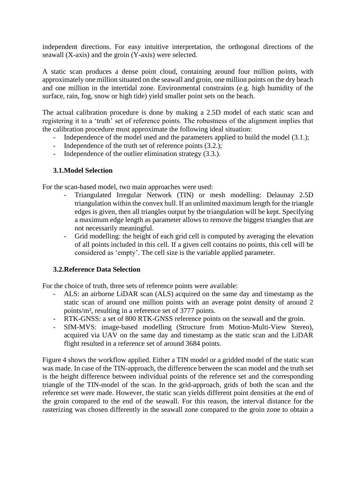independent directions. For easy intuitive interpretation, the orthogonal directions of the seawall (X-axis) and the groin (Y-axis) were selected.

A static scan produces a dense point cloud, containing around four million points, with approximately one million situated on the seawall and groin, one million points on the dry beach and one million in the intertidal zone. Environmental constraints (e.g. high humidity of the surface, rain, fog, snow or high tide) yield smaller point sets on the beach.

The actual calibration procedure is done by making a 2.5D model of each static scan and registering it to a 'truth' set of reference points. The robustness of the alignment implies that the calibration procedure must approximate the following ideal situation:

- Independence of the model used and the parameters applied to build the model (3.1.);
- Independence of the truth set of reference points  $(3.2.)$ ;
- Independence of the outlier elimination strategy (3.3.).

#### **3.1.Model Selection**

For the scan-based model, two main approaches were used:

- Triangulated Irregular Network (TIN) or mesh modelling: Delaunay 2.5D triangulation within the convex hull. If an unlimited maximum length for the triangle edges is given, then all triangles output by the triangulation will be kept. Specifying a maximum edge length as parameter allows to remove the biggest triangles that are not necessarily meaningful.
- Grid modelling: the height of each grid cell is computed by averaging the elevation of all points included in this cell. If a given cell contains no points, this cell will be considered as 'empty'. The cell size is the variable applied parameter.

#### **3.2.Reference Data Selection**

For the choice of truth, three sets of reference points were available:

- ALS: an airborne LiDAR scan (ALS) acquired on the same day and timestamp as the static scan of around one million points with an average point density of around 2 points/m², resulting in a reference set of 3777 points.
- RTK-GNSS: a set of 800 RTK-GNSS reference points on the seawall and the groin.
- SfM-MVS: image-based modelling (Structure from Motion-Multi-View Stereo), acquired via UAV on the same day and timestamp as the static scan and the LiDAR flight resulted in a reference set of around 3684 points.

Figure 4 shows the workflow applied. Either a TIN model or a gridded model of the static scan was made. In case of the TIN-approach, the difference between the scan model and the truth set is the height difference between individual points of the reference set and the corresponding triangle of the TIN-model of the scan. In the grid-approach, grids of both the scan and the reference set were made. However, the static scan yields different point densities at the end of the groin compared to the end of the seawall. For this reason, the interval distance for the rasterizing was chosen differently in the seawall zone compared to the groin zone to obtain a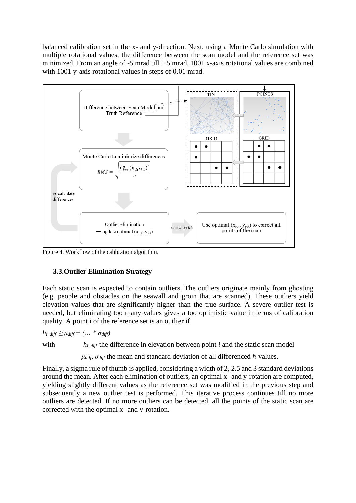balanced calibration set in the x- and y-direction. Next, using a Monte Carlo simulation with multiple rotational values, the difference between the scan model and the reference set was minimized. From an angle of  $-5$  mrad till  $+5$  mrad, 1001 x-axis rotational values are combined with 1001 y-axis rotational values in steps of 0.01 mrad.



Figure 4. Workflow of the calibration algorithm.

## **3.3.Outlier Elimination Strategy**

Each static scan is expected to contain outliers. The outliers originate mainly from ghosting (e.g. people and obstacles on the seawall and groin that are scanned). These outliers yield elevation values that are significantly higher than the true surface. A severe outlier test is needed, but eliminating too many values gives a too optimistic value in terms of calibration quality. A point i of the reference set is an outlier if

 $h_i$ , *diff*  $\geq \mu$ *diff*  $+$  (… \*  $\sigma$ *diff*)

with  $h_i$  *diff* the difference in elevation between point *i* and the static scan model

 $\mu_{diff}$ ,  $\sigma_{diff}$  the mean and standard deviation of all differenced *h*-values.

Finally, a sigma rule of thumb is applied, considering a width of 2, 2.5 and 3 standard deviations around the mean. After each elimination of outliers, an optimal x- and y-rotation are computed, yielding slightly different values as the reference set was modified in the previous step and subsequently a new outlier test is performed. This iterative process continues till no more outliers are detected. If no more outliers can be detected, all the points of the static scan are corrected with the optimal x- and y-rotation.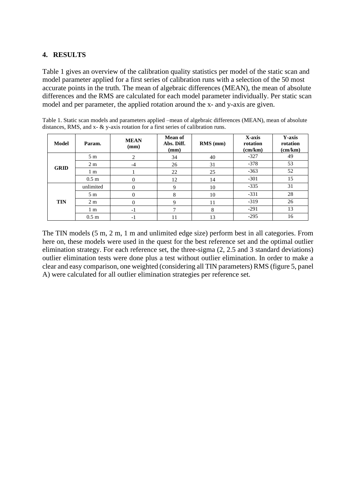#### **4. RESULTS**

Table 1 gives an overview of the calibration quality statistics per model of the static scan and model parameter applied for a first series of calibration runs with a selection of the 50 most accurate points in the truth. The mean of algebraic differences (MEAN), the mean of absolute differences and the RMS are calculated for each model parameter individually. Per static scan model and per parameter, the applied rotation around the x- and y-axis are given.

| Model       | Param.           | <b>MEAN</b><br>(mm) | <b>Mean of</b><br>Abs. Diff.<br>(mm) | $RMS$ (mm) | X-axis<br>rotation<br>(cm/km) | Y-axis<br>rotation<br>(cm/km) |
|-------------|------------------|---------------------|--------------------------------------|------------|-------------------------------|-------------------------------|
| <b>GRID</b> | 5 <sub>m</sub>   | 2                   | 34<br>40                             |            | $-327$                        | 49                            |
|             | 2 <sub>m</sub>   | $-4$                | 26                                   | 31         | $-378$                        | 53                            |
|             | 1 <sub>m</sub>   |                     | 22                                   | 25         | $-363$                        | 52                            |
|             | 0.5 <sub>m</sub> | $\theta$            | 12                                   | 14         | $-301$                        | 15                            |
| <b>TIN</b>  | unlimited        | 0                   | 9                                    | 10         | $-335$                        | 31                            |
|             | 5m               | 0                   | 8                                    | 10         | $-331$                        | 28                            |
|             | 2 <sub>m</sub>   | $\theta$            | 9                                    | 11         | $-319$                        | 26                            |
|             | 1 <sub>m</sub>   | $-1$                | ⇁                                    | 8          | $-291$                        | 13                            |
|             | 0.5 <sub>m</sub> | $-1$                | 11                                   | 13         | $-295$                        | 16                            |

Table 1. Static scan models and parameters applied –mean of algebraic differences (MEAN), mean of absolute distances, RMS, and x- & y-axis rotation for a first series of calibration runs.

The TIN models (5 m, 2 m, 1 m and unlimited edge size) perform best in all categories. From here on, these models were used in the quest for the best reference set and the optimal outlier elimination strategy. For each reference set, the three-sigma (2, 2.5 and 3 standard deviations) outlier elimination tests were done plus a test without outlier elimination. In order to make a clear and easy comparison, one weighted (considering all TIN parameters) RMS (figure 5, panel A) were calculated for all outlier elimination strategies per reference set.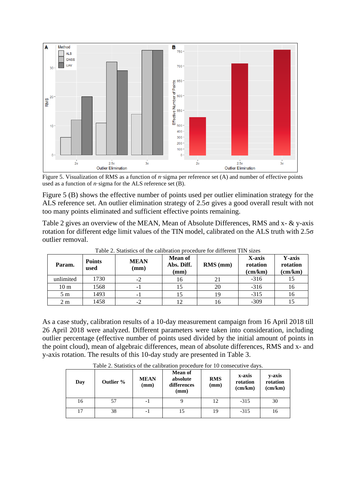

Figure 5. Visualization of RMS as a function of *n*·sigma per reference set (A) and number of effective points used as a function of *n*·sigma for the ALS reference set (B).

Figure 5 (B) shows the effective number of points used per outlier elimination strategy for the ALS reference set. An outlier elimination strategy of 2.5σ gives a good overall result with not too many points eliminated and sufficient effective points remaining.

Table 2 gives an overview of the MEAN, Mean of Absolute Differences, RMS and x- & y-axis rotation for different edge limit values of the TIN model, calibrated on the ALS truth with 2.5σ outlier removal.

| Param.          | <b>Points</b><br>used | <b>MEAN</b><br>(mm) | <b>Mean of</b><br>Abs. Diff.<br>(mm) | $RMS$ (mm) | X-axis<br>rotation<br>(cm/km) | Y-axis<br>rotation<br>(cm/km) |
|-----------------|-----------------------|---------------------|--------------------------------------|------------|-------------------------------|-------------------------------|
| unlimited       | 1730                  | $-2$                | 16                                   | 21         | $-316$                        | 15                            |
| 10 <sub>m</sub> | 1568                  | - 1                 | 15                                   | 20         | $-316$                        | 16                            |
| 5m              | 1493                  | - 1                 | 15                                   | 19         | $-315$                        | 16                            |
| 2 <sub>m</sub>  | 1458                  | -2                  |                                      | 16         | $-309$                        | 15                            |

Table 2. Statistics of the calibration procedure for different TIN sizes

As a case study, calibration results of a 10-day measurement campaign from 16 April 2018 till 26 April 2018 were analyzed. Different parameters were taken into consideration, including outlier percentage (effective number of points used divided by the initial amount of points in the point cloud), mean of algebraic differences, mean of absolute differences, RMS and x- and y-axis rotation. The results of this 10-day study are presented in Table 3.

Table 2. Statistics of the calibration procedure for 10 consecutive days.

| Day | Outlier % | <b>MEAN</b><br>(mm) |    | <b>RMS</b><br>(mm) | x-axis<br>rotation<br>(cm/km) | y-axis<br>rotation<br>(cm/km) |  |
|-----|-----------|---------------------|----|--------------------|-------------------------------|-------------------------------|--|
| 16  | 57        | $-1$                |    | 12                 | $-315$                        | 30                            |  |
| 17  | 38        | $-1$                | 15 | 19                 | $-315$                        | 16                            |  |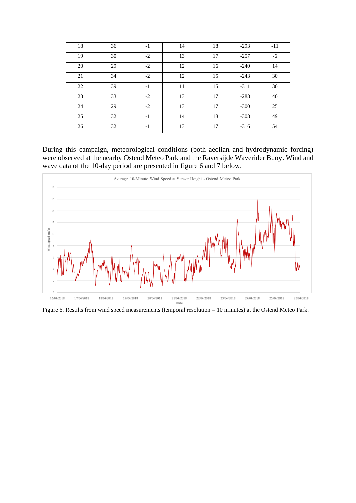| 18 | 36 | $-1$ | 14 | 18 | $-293$ | $-11$ |
|----|----|------|----|----|--------|-------|
| 19 | 30 | $-2$ | 13 | 17 | $-257$ | $-6$  |
| 20 | 29 | $-2$ | 12 | 16 | $-240$ | 14    |
| 21 | 34 | $-2$ | 12 | 15 | $-243$ | 30    |
| 22 | 39 | $-1$ | 11 | 15 | $-311$ | 30    |
| 23 | 33 | $-2$ | 13 | 17 | $-288$ | 40    |
| 24 | 29 | $-2$ | 13 | 17 | $-300$ | 25    |
| 25 | 32 | $-1$ | 14 | 18 | $-308$ | 49    |
| 26 | 32 | $-1$ | 13 | 17 | $-316$ | 54    |

During this campaign, meteorological conditions (both aeolian and hydrodynamic forcing) were observed at the nearby Ostend Meteo Park and the Raversijde Waverider Buoy. Wind and wave data of the 10-day period are presented in figure 6 and 7 below.



Figure 6. Results from wind speed measurements (temporal resolution = 10 minutes) at the Ostend Meteo Park.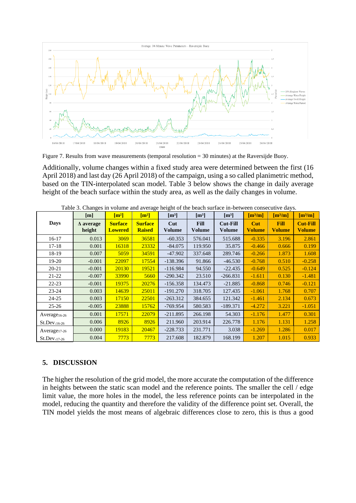

Figure 7. Results from wave measurements (temporal resolution = 30 minutes) at the Raversijde Buoy.

Additionally, volume changes within a fixed study area were determined between the first (16 April 2018) and last day (26 April 2018) of the campaign, using a so called planimetric method, based on the TIN-interpolated scan model. Table 3 below shows the change in daily average height of the beach surface within the study area, as well as the daily changes in volume.

|                          | [m]                        | $\sqrt{m^2}$                     | $\sqrt{m^2}$                    | $\lceil m^3 \rceil$ | $\mathbf{[m^3]}$             | $\lceil m^3 \rceil$       | $\lceil m^3/m \rceil$ | $\lceil m^3/m \rceil$        | $\left[\mathrm{m}^3/\mathrm{m}\right]$ |
|--------------------------|----------------------------|----------------------------------|---------------------------------|---------------------|------------------------------|---------------------------|-----------------------|------------------------------|----------------------------------------|
| Days                     | $\Delta$ average<br>height | <b>Surface</b><br><b>Lowered</b> | <b>Surface</b><br><b>Raised</b> | Cut<br>Volume       | <b>Fill</b><br><b>Volume</b> | <b>Cut-Fill</b><br>Volume | Cut<br><b>Volume</b>  | <b>Fill</b><br><b>Volume</b> | <b>Cut-Fill</b><br><b>Volume</b>       |
| $16-17$                  | 0.013                      | 3069                             | 36581                           | $-60.353$           | 576.041                      | 515.688                   | $-0.335$              | 3.196                        | 2.861                                  |
| $17 - 18$                | 0.001                      | 16318                            | 23332                           | $-84.075$           | 119.950                      | 35.875                    | $-0.466$              | 0.666                        | 0.199                                  |
| 18-19                    | 0.007                      | 5059                             | 34591                           | $-47.902$           | 337.648                      | 289.746                   | $-0.266$              | 1.873                        | 1.608                                  |
| 19-20                    | $-0.001$                   | 22097                            | 17554                           | $-138.396$          | 91.866                       | $-46.530$                 | $-0.768$              | 0.510                        | $-0.258$                               |
| $20 - 21$                | $-0.001$                   | 20130                            | 19521                           | $-116.984$          | 94.550                       | $-22.435$                 | $-0.649$              | 0.525                        | $-0.124$                               |
| $21-22$                  | $-0.007$                   | 33990                            | 5660                            | $-290.342$          | 23.510                       | $-266.831$                | $-1.611$              | 0.130                        | $-1.481$                               |
| $22 - 23$                | $-0.001$                   | 19375                            | 20276                           | $-156.358$          | 134.473                      | $-21.885$                 | $-0.868$              | 0.746                        | $-0.121$                               |
| $23 - 24$                | 0.003                      | 14639                            | 25011                           | $-191.270$          | 318.705                      | 127.435                   | $-1.061$              | 1.768                        | 0.707                                  |
| $24 - 25$                | 0.003                      | 17150                            | 22501                           | $-263.312$          | 384.655                      | 121.342                   | $-1.461$              | 2.134                        | 0.673                                  |
| $25 - 26$                | $-0.005$                   | 23888                            | 15762                           | $-769.954$          | 580.583                      | $-189.371$                | $-4.272$              | 3.221                        | $-1.051$                               |
| Average $16-26$          | 0.001                      | 17571                            | 22079                           | $-211.895$          | 266.198                      | 54.303                    | $-1.176$              | 1.477                        | 0.301                                  |
| St.Dev.16-26             | 0.006                      | 8926                             | 8926                            | 211.960             | 203.914                      | 226.778                   | 1.176                 | 1.131                        | 1.258                                  |
| Average <sub>17-26</sub> | 0.000                      | 19183                            | 20467                           | $-228.733$          | 231.771                      | 3.038                     | $-1.269$              | 1.286                        | 0.017                                  |
| St.Dev.17-26             | 0.004                      | 7773                             | 7773                            | 217.608             | 182.879                      | 168.199                   | 1.207                 | 1.015                        | 0.933                                  |

Table 3. Changes in volume and average height of the beach surface in-between consecutive days.

#### **5. DISCUSSION**

The higher the resolution of the grid model, the more accurate the computation of the difference in heights between the static scan model and the reference points. The smaller the cell / edge limit value, the more holes in the model, the less reference points can be interpolated in the model, reducing the quantity and therefore the validity of the difference point set. Overall, the TIN model yields the most means of algebraic differences close to zero, this is thus a good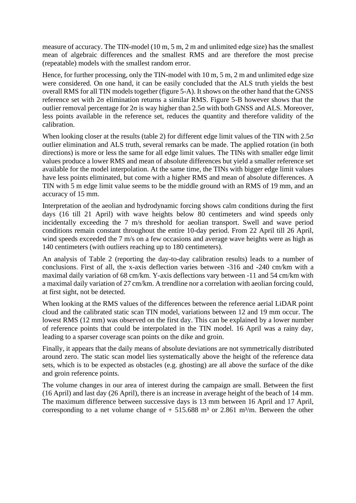measure of accuracy. The TIN-model (10 m, 5 m, 2 m and unlimited edge size) has the smallest mean of algebraic differences and the smallest RMS and are therefore the most precise (repeatable) models with the smallest random error.

Hence, for further processing, only the TIN-model with 10 m, 5 m, 2 m and unlimited edge size were considered. On one hand, it can be easily concluded that the ALS truth yields the best overall RMS for all TIN models together (figure 5-A). It shows on the other hand that the GNSS reference set with 2σ elimination returns a similar RMS. Figure 5-B however shows that the outlier removal percentage for 2σ is way higher than 2.5σ with both GNSS and ALS. Moreover, less points available in the reference set, reduces the quantity and therefore validity of the calibration.

When looking closer at the results (table 2) for different edge limit values of the TIN with 2.5σ outlier elimination and ALS truth, several remarks can be made. The applied rotation (in both directions) is more or less the same for all edge limit values. The TINs with smaller edge limit values produce a lower RMS and mean of absolute differences but yield a smaller reference set available for the model interpolation. At the same time, the TINs with bigger edge limit values have less points eliminated, but come with a higher RMS and mean of absolute differences. A TIN with 5 m edge limit value seems to be the middle ground with an RMS of 19 mm, and an accuracy of 15 mm.

Interpretation of the aeolian and hydrodynamic forcing shows calm conditions during the first days (16 till 21 April) with wave heights below 80 centimeters and wind speeds only incidentally exceeding the 7 m/s threshold for aeolian transport. Swell and wave period conditions remain constant throughout the entire 10-day period. From 22 April till 26 April, wind speeds exceeded the 7 m/s on a few occasions and average wave heights were as high as 140 centimeters (with outliers reaching up to 180 centimeters).

An analysis of Table 2 (reporting the day-to-day calibration results) leads to a number of conclusions. First of all, the x-axis deflection varies between -316 and -240 cm/km with a maximal daily variation of 68 cm/km. Y-axis deflections vary between -11 and 54 cm/km with a maximal daily variation of 27 cm/km. A trendline nor a correlation with aeolian forcing could, at first sight, not be detected.

When looking at the RMS values of the differences between the reference aerial LiDAR point cloud and the calibrated static scan TIN model, variations between 12 and 19 mm occur. The lowest RMS (12 mm) was observed on the first day. This can be explained by a lower number of reference points that could be interpolated in the TIN model. 16 April was a rainy day, leading to a sparser coverage scan points on the dike and groin.

Finally, it appears that the daily means of absolute deviations are not symmetrically distributed around zero. The static scan model lies systematically above the height of the reference data sets, which is to be expected as obstacles (e.g. ghosting) are all above the surface of the dike and groin reference points.

The volume changes in our area of interest during the campaign are small. Between the first (16 April) and last day (26 April), there is an increase in average height of the beach of 14 mm. The maximum difference between successive days is 13 mm between 16 April and 17 April, corresponding to a net volume change of  $+ 515.688$  m<sup>3</sup> or 2.861 m<sup>3</sup>/m. Between the other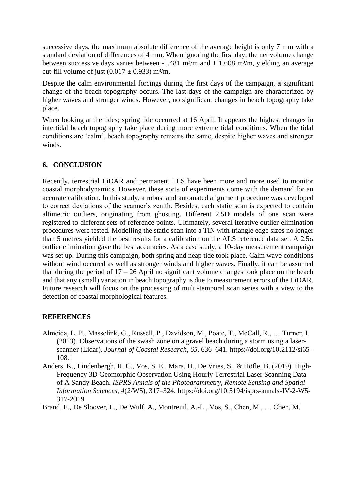successive days, the maximum absolute difference of the average height is only 7 mm with a standard deviation of differences of 4 mm. When ignoring the first day; the net volume change between successive days varies between -1.481 m<sup>3</sup>/m and  $+$  1.608 m<sup>3</sup>/m, vielding an average cut-fill volume of just  $(0.017 \pm 0.933)$  m<sup>3</sup>/m.

Despite the calm environmental forcings during the first days of the campaign, a significant change of the beach topography occurs. The last days of the campaign are characterized by higher waves and stronger winds. However, no significant changes in beach topography take place.

When looking at the tides; spring tide occurred at 16 April. It appears the highest changes in intertidal beach topography take place during more extreme tidal conditions. When the tidal conditions are 'calm', beach topography remains the same, despite higher waves and stronger winds.

#### **6. CONCLUSION**

Recently, terrestrial LiDAR and permanent TLS have been more and more used to monitor coastal morphodynamics. However, these sorts of experiments come with the demand for an accurate calibration. In this study, a robust and automated alignment procedure was developed to correct deviations of the scanner's zenith. Besides, each static scan is expected to contain altimetric outliers, originating from ghosting. Different 2.5D models of one scan were registered to different sets of reference points. Ultimately, several iterative outlier elimination procedures were tested. Modelling the static scan into a TIN with triangle edge sizes no longer than 5 metres yielded the best results for a calibration on the ALS reference data set. A 2.5σ outlier elimination gave the best accuracies. As a case study, a 10-day measurement campaign was set up. During this campaign, both spring and neap tide took place. Calm wave conditions without wind occured as well as stronger winds and higher waves. Finally, it can be assumed that during the period of  $17 - 26$  April no significant volume changes took place on the beach and that any (small) variation in beach topography is due to measurement errors of the LiDAR. Future research will focus on the processing of multi-temporal scan series with a view to the detection of coastal morphological features.

## **REFERENCES**

- Almeida, L. P., Masselink, G., Russell, P., Davidson, M., Poate, T., McCall, R., … Turner, I. (2013). Observations of the swash zone on a gravel beach during a storm using a laserscanner (Lidar). *Journal of Coastal Research*, *65*, 636–641. https://doi.org/10.2112/si65- 108.1
- Anders, K., Lindenbergh, R. C., Vos, S. E., Mara, H., De Vries, S., & Höfle, B. (2019). High-Frequency 3D Geomorphic Observation Using Hourly Terrestrial Laser Scanning Data of A Sandy Beach. *ISPRS Annals of the Photogrammetry, Remote Sensing and Spatial Information Sciences*, *4*(2/W5), 317–324. https://doi.org/10.5194/isprs-annals-IV-2-W5- 317-2019
- Brand, E., De Sloover, L., De Wulf, A., Montreuil, A.-L., Vos, S., Chen, M., … Chen, M.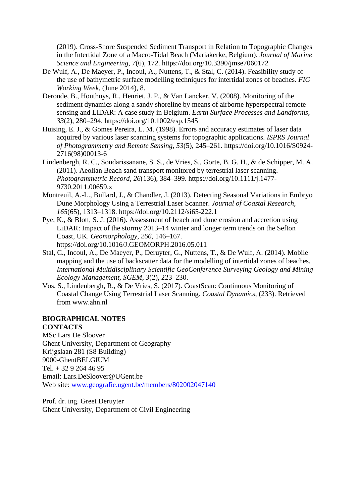(2019). Cross-Shore Suspended Sediment Transport in Relation to Topographic Changes in the Intertidal Zone of a Macro-Tidal Beach (Mariakerke, Belgium). *Journal of Marine Science and Engineering*, *7*(6), 172. https://doi.org/10.3390/jmse7060172

- De Wulf, A., De Maeyer, P., Incoul, A., Nuttens, T., & Stal, C. (2014). Feasibility study of the use of bathymetric surface modelling techniques for intertidal zones of beaches. *FIG Working Week*, (June 2014), 8.
- Deronde, B., Houthuys, R., Henriet, J. P., & Van Lancker, V. (2008). Monitoring of the sediment dynamics along a sandy shoreline by means of airborne hyperspectral remote sensing and LIDAR: A case study in Belgium. *Earth Surface Processes and Landforms*, *33*(2), 280–294. https://doi.org/10.1002/esp.1545
- Huising, E. J., & Gomes Pereira, L. M. (1998). Errors and accuracy estimates of laser data acquired by various laser scanning systems for topographic applications. *ISPRS Journal of Photogrammetry and Remote Sensing*, *53*(5), 245–261. https://doi.org/10.1016/S0924- 2716(98)00013-6
- Lindenbergh, R. C., Soudarissanane, S. S., de Vries, S., Gorte, B. G. H., & de Schipper, M. A. (2011). Aeolian Beach sand transport monitored by terrestrial laser scanning. *Photogrammetric Record*, *26*(136), 384–399. https://doi.org/10.1111/j.1477- 9730.2011.00659.x
- Montreuil, A.-L., Bullard, J., & Chandler, J. (2013). Detecting Seasonal Variations in Embryo Dune Morphology Using a Terrestrial Laser Scanner. *Journal of Coastal Research*, *165*(65), 1313–1318. https://doi.org/10.2112/si65-222.1
- Pye, K., & Blott, S. J. (2016). Assessment of beach and dune erosion and accretion using LiDAR: Impact of the stormy 2013–14 winter and longer term trends on the Sefton Coast, UK. *Geomorphology*, *266*, 146–167. https://doi.org/10.1016/J.GEOMORPH.2016.05.011
- Stal, C., Incoul, A., De Maeyer, P., Deruyter, G., Nuttens, T., & De Wulf, A. (2014). Mobile mapping and the use of backscatter data for the modelling of intertidal zones of beaches. *International Multidisciplinary Scientific GeoConference Surveying Geology and Mining Ecology Management, SGEM*, *3*(2), 223–230.
- Vos, S., Lindenbergh, R., & De Vries, S. (2017). CoastScan: Continuous Monitoring of Coastal Change Using Terrestrial Laser Scanning. *Coastal Dynamics*, (233). Retrieved from www.ahn.nl

# **BIOGRAPHICAL NOTES**

**CONTACTS**

MSc Lars De Sloover Ghent University, Department of Geography Krijgslaan 281 (S8 Building) 9000-GhentBELGIUM Tel.  $+3292644695$ Email: Lars.DeSloover@UGent.be Web site: [www.geografie.ugent.be/members/802002047140](http://www.geografie.ugent.be/members/802002047140)

Prof. dr. ing. Greet Deruyter Ghent University, Department of Civil Engineering